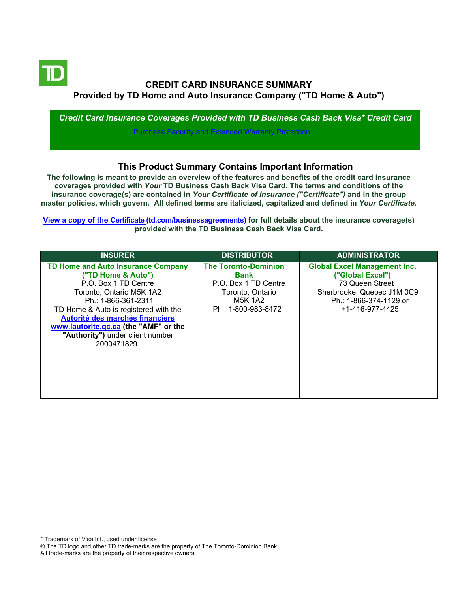

# **CREDIT CARD INSURANCE SUMMARY Provided by TD Home and Auto Insurance Company ("TD Home & Auto")**

*Credit Card Insurance Coverages Provided with TD Business Cash Back Visa\* Credit Card* [Purchase Security and Extended Warranty Protection](#page-3-0)

## **This Product Summary Contains Important Information**

**The following is meant to provide an overview of the features and benefits of the credit card insurance coverages provided with** *Your* **TD Business Cash Back Visa Card. The terms and conditions of the insurance coverage(s) are contained in** *Your Certificate of Insurance ("Certificate")* **and in the group master policies, which govern. All defined terms are italicized, capitalized and defined in** *Your Certificate***.**

**[View a copy of the Certificate](https://www.td.com/ca/en/business-banking/how-to/manage-my-business-credit-card/getting-started/) (td.com/businessagreements) for full details about the insurance coverage(s) provided with the TD Business Cash Back Visa Card.**

| <b>INSURER</b>                                                                                                                                                                                                                                                                                                     | <b>DISTRIBUTOR</b>                                                                                                       | <b>ADMINISTRATOR</b>                                                                                                                                          |
|--------------------------------------------------------------------------------------------------------------------------------------------------------------------------------------------------------------------------------------------------------------------------------------------------------------------|--------------------------------------------------------------------------------------------------------------------------|---------------------------------------------------------------------------------------------------------------------------------------------------------------|
| <b>TD Home and Auto Insurance Company</b><br>("TD Home & Auto")<br>P.O. Box 1 TD Centre<br>Toronto, Ontario M5K 1A2<br>Ph.: 1-866-361-2311<br>TD Home & Auto is registered with the<br>Autorité des marchés financiers<br>www.lautorite.gc.ca (the "AMF" or the<br>"Authority") under client number<br>2000471829. | <b>The Toronto-Dominion</b><br>Bank<br>P.O. Box 1 TD Centre<br>Toronto, Ontario<br><b>M5K 1A2</b><br>Ph.: 1-800-983-8472 | <b>Global Excel Management Inc.</b><br>("Global Excel")<br>73 Queen Street<br>Sherbrooke, Quebec J1M 0C9<br>Ph.: 1-866-374-1129 or<br>$+1 - 416 - 977 - 4425$ |

\* Trademark of Visa Int., used under license

All trade-marks are the property of their respective owners.

<sup>®</sup> The TD logo and other TD trade-marks are the property of The Toronto-Dominion Bank.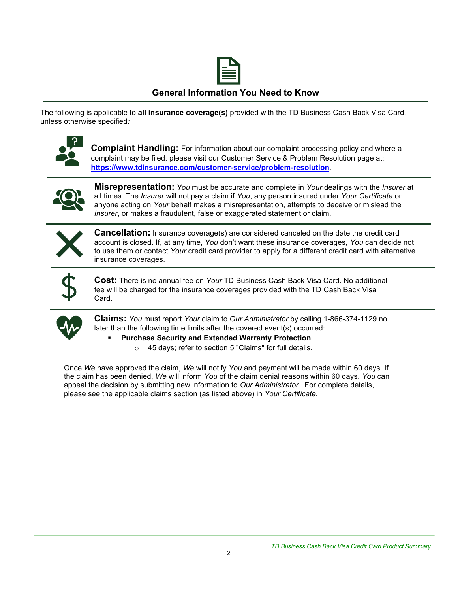

## **General Information You Need to Know**

The following is applicable to **all insurance coverage(s)** provided with the TD Business Cash Back Visa Card, unless otherwise specified*:*



**Complaint Handling:** For information about our complaint processing policy and where a complaint may be filed, please visit our Customer Service & Problem Resolution page at: **<https://www.tdinsurance.com/customer-service/problem-resolution>**.



**Misrepresentation:** *You* must be accurate and complete in *Your* dealings with the *Insurer* at all times. The *Insurer* will not pay a claim if *You*, any person insured under *Your Certificate* or anyone acting on *Your* behalf makes a misrepresentation, attempts to deceive or mislead the *Insurer*, or makes a fraudulent, false or exaggerated statement or claim.



**Cancellation:** Insurance coverage(s) are considered canceled on the date the credit card account is closed. If, at any time, *You* don't want these insurance coverages, *You* can decide not to use them or contact *Your* credit card provider to apply for a different credit card with alternative insurance coverages.



**Cost:** There is no annual fee on *Your* TD Business Cash Back Visa Card. No additional fee will be charged for the insurance coverages provided with the TD Cash Back Visa Card.



**Claims:** *You* must report *Your* claim to *Our Administrator* by calling 1-866-374-1129 no later than the following time limits after the covered event(s) occurred:

#### **Purchase Security and Extended Warranty Protection**

o 45 days; refer to section 5 "Claims" for full details.

Once *We* have approved the claim, *We* will notify *You* and payment will be made within 60 days. If the claim has been denied, *We* will inform *You* of the claim denial reasons within 60 days. *You* can appeal the decision by submitting new information to *Our Administrator*. For complete details, please see the applicable claims section (as listed above) in *Your Certificate.*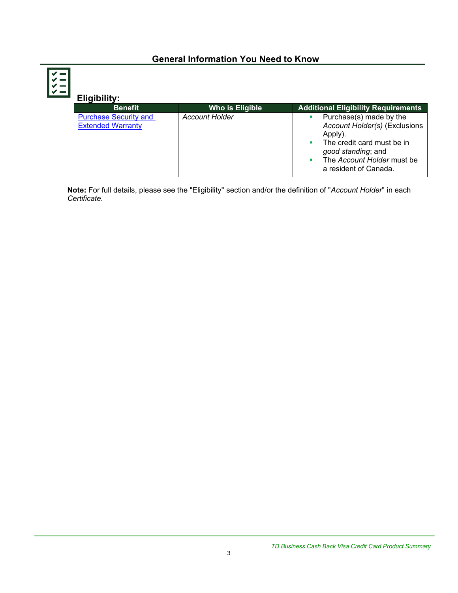# **General Information You Need to Know**

 $\sim$ 

| Eligibility:                                             |                       |                                                                                                                                                                                |
|----------------------------------------------------------|-----------------------|--------------------------------------------------------------------------------------------------------------------------------------------------------------------------------|
| <b>Benefit</b>                                           | Who is Eligible       | <b>Additional Eligibility Requirements</b>                                                                                                                                     |
| <b>Purchase Security and</b><br><b>Extended Warranty</b> | <b>Account Holder</b> | Purchase(s) made by the<br>Account Holder(s) (Exclusions<br>Apply).<br>The credit card must be in<br>good standing; and<br>The Account Holder must be<br>a resident of Canada. |

**Note:** For full details, please see the "Eligibility" section and/or the definition of "*Account Holder*" in each *Certificate*.